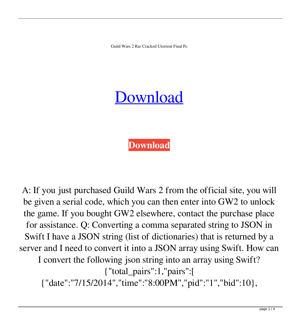Guild Wars 2 Rar Cracked Utorrent Final Pc

## [Download](http://evacdir.com/chests/niedzvieki/ZG93bmxvYWR8OTdnTWpoNmVYeDhNVFkxTWpjME1EZzJObng4TWpVM05IeDhLRTBwSUhKbFlXUXRZbXh2WnlCYlJtRnpkQ0JIUlU1ZA=perineal/bm8gc2VyaWFsIGNvZGUgZ3VpbGQgd2FycyAybm8.sampson?rose)

**[Download](http://evacdir.com/chests/niedzvieki/ZG93bmxvYWR8OTdnTWpoNmVYeDhNVFkxTWpjME1EZzJObng4TWpVM05IeDhLRTBwSUhKbFlXUXRZbXh2WnlCYlJtRnpkQ0JIUlU1ZA=perineal/bm8gc2VyaWFsIGNvZGUgZ3VpbGQgd2FycyAybm8.sampson?rose)**

A: If you just purchased Guild Wars 2 from the official site, you will be given a serial code, which you can then enter into GW2 to unlock the game. If you bought GW2 elsewhere, contact the purchase place for assistance. Q: Converting a comma separated string to JSON in Swift I have a JSON string (list of dictionaries) that is returned by a server and I need to convert it into a JSON array using Swift. How can I convert the following json string into an array using Swift? {"total\_pairs":1,"pairs":[ {"date":"7/15/2014","time":"8:00PM","pid":"1","bid":10},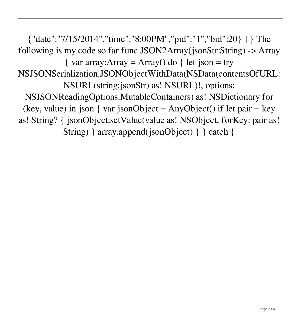{"date":"7/15/2014","time":"8:00PM","pid":"1","bid":20} ] } The following is my code so far func JSON2Array(jsonStr:String) -> Array { var array:Array = Array() do { let json = try NSJSONSerialization.JSONObjectWithData(NSData(contentsOfURL: NSURL(string:jsonStr) as! NSURL)!, options: NSJSONReadingOptions.MutableContainers) as! NSDictionary for (key, value) in json { var jsonObject = AnyObject() if let pair = key as! String? { jsonObject.setValue(value as! NSObject, forKey: pair as! String) } array.append(jsonObject) } } catch {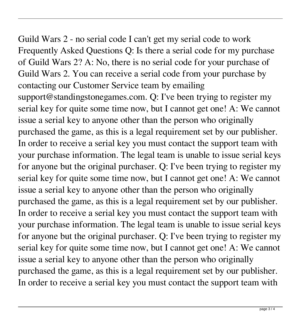## Guild Wars 2 - no serial code I can't get my serial code to work Frequently Asked Questions Q: Is there a serial code for my purchase of Guild Wars 2? A: No, there is no serial code for your purchase of Guild Wars 2. You can receive a serial code from your purchase by contacting our Customer Service team by emailing support@standingstonegames.com. Q: I've been trying to register my serial key for quite some time now, but I cannot get one! A: We cannot issue a serial key to anyone other than the person who originally

purchased the game, as this is a legal requirement set by our publisher. In order to receive a serial key you must contact the support team with your purchase information. The legal team is unable to issue serial keys for anyone but the original purchaser. Q: I've been trying to register my serial key for quite some time now, but I cannot get one! A: We cannot issue a serial key to anyone other than the person who originally purchased the game, as this is a legal requirement set by our publisher. In order to receive a serial key you must contact the support team with your purchase information. The legal team is unable to issue serial keys for anyone but the original purchaser. Q: I've been trying to register my serial key for quite some time now, but I cannot get one! A: We cannot issue a serial key to anyone other than the person who originally purchased the game, as this is a legal requirement set by our publisher. In order to receive a serial key you must contact the support team with